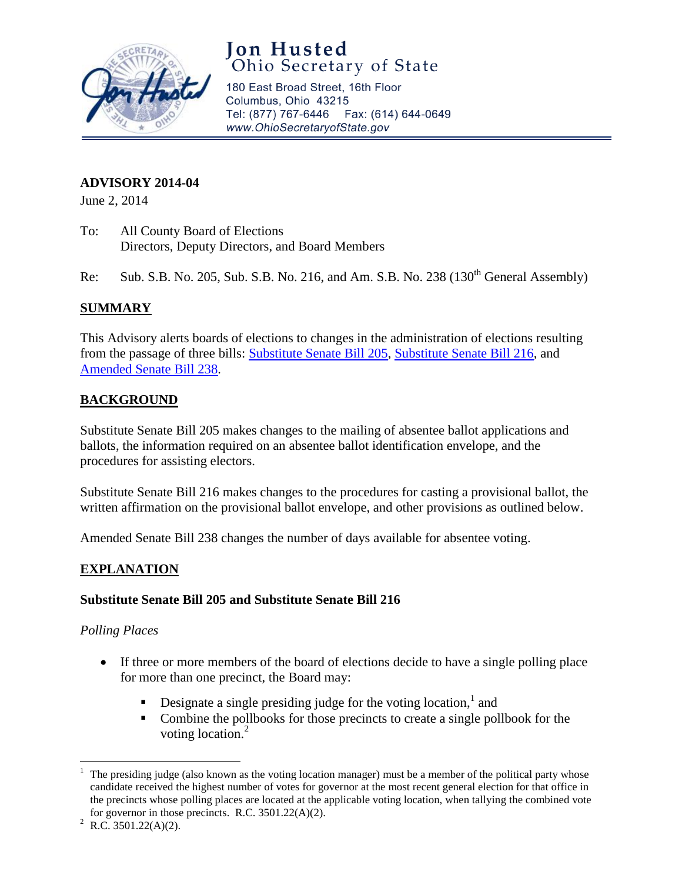

# **Jon Husted**<br>Ohio Secretary of State

180 East Broad Street, 16th Floor Columbus, Ohio 43215 Tel: (877) 767-6446 Fax: (614) 644-0649 www.OhioSecretaryofState.gov

# **ADVISORY 2014-04**

June 2, 2014

- To: All County Board of Elections Directors, Deputy Directors, and Board Members
- Re: Sub. S.B. No. 205, Sub. S.B. No. 216, and Am. S.B. No. 238  $(130<sup>th</sup>$  General Assembly)

## **SUMMARY**

This Advisory alerts boards of elections to changes in the administration of elections resulting from the passage of three bills: [Substitute Senate Bill 205,](ftp://server6.sos.state.oh.us/free/publications/SessionLaws/130/130-SB-205.pdf) [Substitute Senate Bill 216,](ftp://server6.sos.state.oh.us/free/publications/SessionLaws/130/130-SB-216.pdf) and [Amended Senate Bill 238.](ftp://server6.sos.state.oh.us/free/publications/SessionLaws/130/130-SB-238.pdf)

# **BACKGROUND**

Substitute Senate Bill 205 makes changes to the mailing of absentee ballot applications and ballots, the information required on an absentee ballot identification envelope, and the procedures for assisting electors.

Substitute Senate Bill 216 makes changes to the procedures for casting a provisional ballot, the written affirmation on the provisional ballot envelope, and other provisions as outlined below.

Amended Senate Bill 238 changes the number of days available for absentee voting.

# **EXPLANATION**

## **Substitute Senate Bill 205 and Substitute Senate Bill 216**

#### *Polling Places*

- If three or more members of the board of elections decide to have a single polling place for more than one precinct, the Board may:
	- **Designate a single presiding judge for the voting location,** and
	- Combine the pollbooks for those precincts to create a single pollbook for the voting location.<sup>2</sup>

 $\overline{a}$ <sup>1</sup> The presiding judge (also known as the voting location manager) must be a member of the political party whose candidate received the highest number of votes for governor at the most recent general election for that office in the precincts whose polling places are located at the applicable voting location, when tallying the combined vote for governor in those precincts. R.C. 3501.22(A)(2).

<sup>&</sup>lt;sup>2</sup> R.C. 3501.22(A)(2).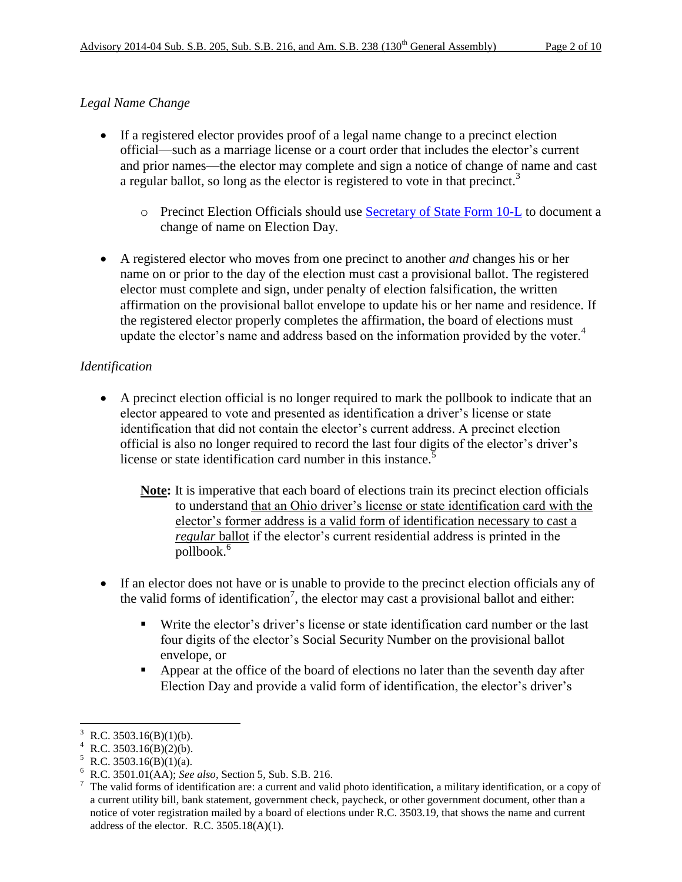## *Legal Name Change*

- If a registered elector provides proof of a legal name change to a precinct election official—such as a marriage license or a court order that includes the elector's current and prior names—the elector may complete and sign a notice of change of name and cast a regular ballot, so long as the elector is registered to vote in that precinct.<sup>3</sup>
	- o Precinct Election Officials should use [Secretary of State Form 10-L](http://www.sos.state.oh.us/sos/upload/elections/forms/10-L.pdf) to document a change of name on Election Day.
- A registered elector who moves from one precinct to another *and* changes his or her name on or prior to the day of the election must cast a provisional ballot. The registered elector must complete and sign, under penalty of election falsification, the written affirmation on the provisional ballot envelope to update his or her name and residence. If the registered elector properly completes the affirmation, the board of elections must update the elector's name and address based on the information provided by the voter.<sup>4</sup>

## *Identification*

- A precinct election official is no longer required to mark the pollbook to indicate that an elector appeared to vote and presented as identification a driver's license or state identification that did not contain the elector's current address. A precinct election official is also no longer required to record the last four digits of the elector's driver's license or state identification card number in this instance.<sup>5</sup>
	- **Note:** It is imperative that each board of elections train its precinct election officials to understand that an Ohio driver's license or state identification card with the elector's former address is a valid form of identification necessary to cast a *regular* ballot if the elector's current residential address is printed in the pollbook.<sup>6</sup>
- If an elector does not have or is unable to provide to the precinct election officials any of the valid forms of identification<sup>7</sup>, the elector may cast a provisional ballot and either:
	- Write the elector's driver's license or state identification card number or the last four digits of the elector's Social Security Number on the provisional ballot envelope, or
	- Appear at the office of the board of elections no later than the seventh day after Election Day and provide a valid form of identification, the elector's driver's

 $\overline{a}$  $R.C. 3503.16(B)(1)(b).$ 

R.C.  $3503.16(B)(2)(b)$ .

 $R.C. 3503.16(B)(1)(a)$ .

<sup>6</sup> R.C. 3501.01(AA); *See also,* Section 5, Sub. S.B. 216.

<sup>7</sup> The valid forms of identification are: a current and valid photo identification, a military identification, or a copy of a current utility bill, bank statement, government check, paycheck, or other government document, other than a notice of voter registration mailed by a board of elections under R.C. 3503.19, that shows the name and current address of the elector. R.C.  $3505.18(A)(1)$ .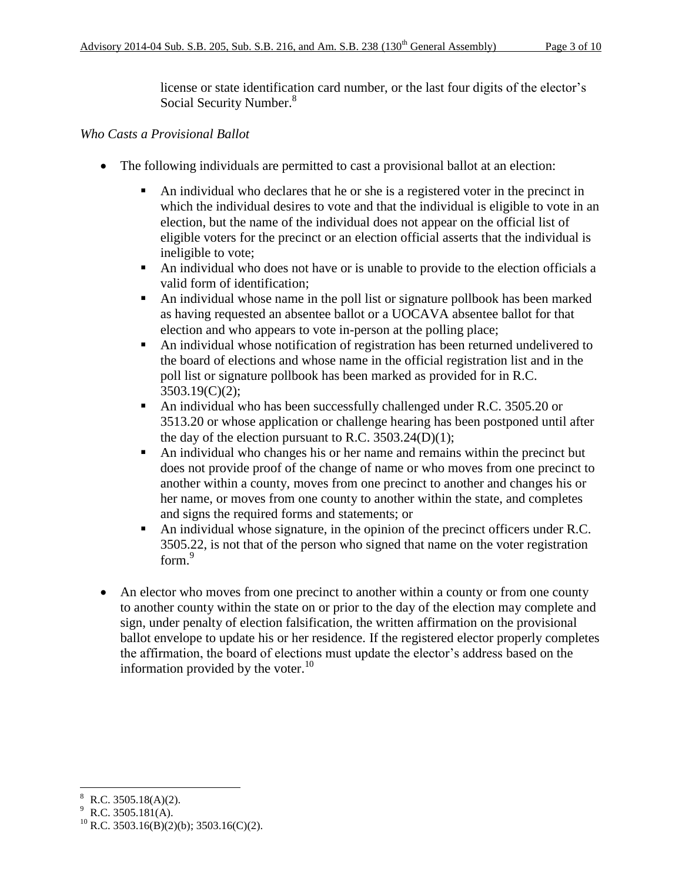license or state identification card number, or the last four digits of the elector's Social Security Number.<sup>8</sup>

#### *Who Casts a Provisional Ballot*

- The following individuals are permitted to cast a provisional ballot at an election:
	- An individual who declares that he or she is a registered voter in the precinct in which the individual desires to vote and that the individual is eligible to vote in an election, but the name of the individual does not appear on the official list of eligible voters for the precinct or an election official asserts that the individual is ineligible to vote;
	- An individual who does not have or is unable to provide to the election officials a valid form of identification;
	- An individual whose name in the poll list or signature pollbook has been marked as having requested an absentee ballot or a UOCAVA absentee ballot for that election and who appears to vote in-person at the polling place;
	- An individual whose notification of registration has been returned undelivered to the board of elections and whose name in the official registration list and in the poll list or signature pollbook has been marked as provided for in R.C. 3503.19(C)(2);
	- An individual who has been successfully challenged under R.C. 3505.20 or 3513.20 or whose application or challenge hearing has been postponed until after the day of the election pursuant to R.C.  $3503.24(D)(1)$ ;
	- An individual who changes his or her name and remains within the precinct but does not provide proof of the change of name or who moves from one precinct to another within a county, moves from one precinct to another and changes his or her name, or moves from one county to another within the state, and completes and signs the required forms and statements; or
	- An individual whose signature, in the opinion of the precinct officers under R.C. 3505.22, is not that of the person who signed that name on the voter registration form.<sup>9</sup>
- An elector who moves from one precinct to another within a county or from one county to another county within the state on or prior to the day of the election may complete and sign, under penalty of election falsification, the written affirmation on the provisional ballot envelope to update his or her residence. If the registered elector properly completes the affirmation, the board of elections must update the elector's address based on the information provided by the voter.<sup>10</sup>

 $\overline{\phantom{a}}$ <sup>8</sup> R.C. 3505.18(A)(2).

<sup>9</sup> R.C. 3505.181(A).

<sup>&</sup>lt;sup>10</sup> R.C. 3503.16(B)(2)(b); 3503.16(C)(2).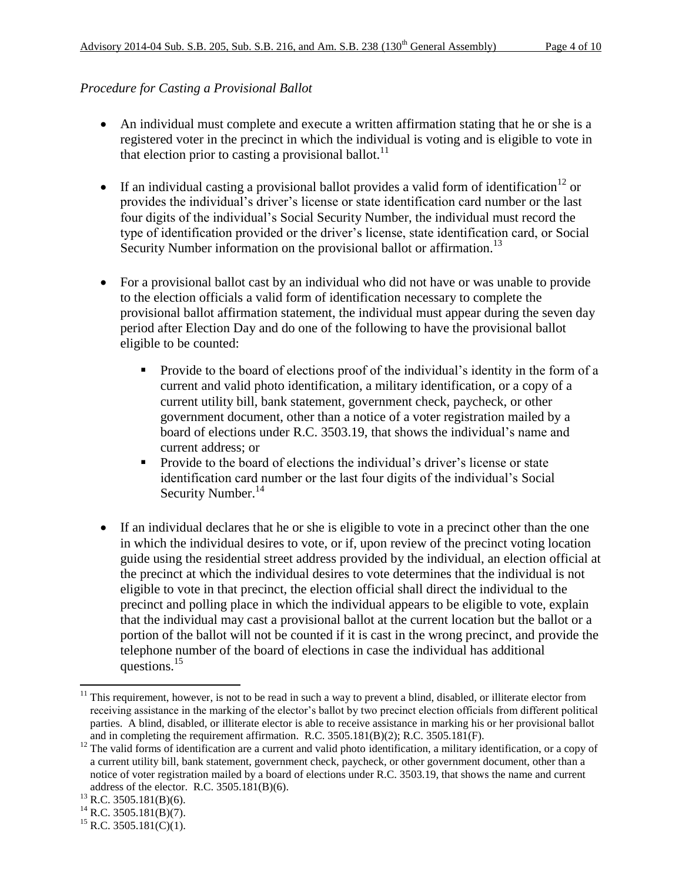## *Procedure for Casting a Provisional Ballot*

- An individual must complete and execute a written affirmation stating that he or she is a registered voter in the precinct in which the individual is voting and is eligible to vote in that election prior to casting a provisional ballot.<sup>11</sup>
- If an individual casting a provisional ballot provides a valid form of identification<sup>12</sup> or provides the individual's driver's license or state identification card number or the last four digits of the individual's Social Security Number, the individual must record the type of identification provided or the driver's license, state identification card, or Social Security Number information on the provisional ballot or affirmation.<sup>13</sup>
- For a provisional ballot cast by an individual who did not have or was unable to provide to the election officials a valid form of identification necessary to complete the provisional ballot affirmation statement, the individual must appear during the seven day period after Election Day and do one of the following to have the provisional ballot eligible to be counted:
	- **Provide to the board of elections proof of the individual's identity in the form of a** current and valid photo identification, a military identification, or a copy of a current utility bill, bank statement, government check, paycheck, or other government document, other than a notice of a voter registration mailed by a board of elections under R.C. 3503.19, that shows the individual's name and current address; or
	- **Provide to the board of elections the individual's driver's license or state** identification card number or the last four digits of the individual's Social Security Number.<sup>14</sup>
- If an individual declares that he or she is eligible to vote in a precinct other than the one in which the individual desires to vote, or if, upon review of the precinct voting location guide using the residential street address provided by the individual, an election official at the precinct at which the individual desires to vote determines that the individual is not eligible to vote in that precinct, the election official shall direct the individual to the precinct and polling place in which the individual appears to be eligible to vote, explain that the individual may cast a provisional ballot at the current location but the ballot or a portion of the ballot will not be counted if it is cast in the wrong precinct, and provide the telephone number of the board of elections in case the individual has additional questions.<sup>15</sup>

 $\overline{a}$ 

 $11$  This requirement, however, is not to be read in such a way to prevent a blind, disabled, or illiterate elector from receiving assistance in the marking of the elector's ballot by two precinct election officials from different political parties. A blind, disabled, or illiterate elector is able to receive assistance in marking his or her provisional ballot and in completing the requirement affirmation. R.C. 3505.181(B)(2); R.C. 3505.181(F).

<sup>&</sup>lt;sup>12</sup> The valid forms of identification are a current and valid photo identification, a military identification, or a copy of a current utility bill, bank statement, government check, paycheck, or other government document, other than a notice of voter registration mailed by a board of elections under R.C. 3503.19, that shows the name and current address of the elector. R.C. 3505.181(B)(6).

 $13$  R.C. 3505.181(B)(6).

 $^{14}$  R.C. 3505.181(B)(7).

 $^{15}$  R.C. 3505.181(C)(1).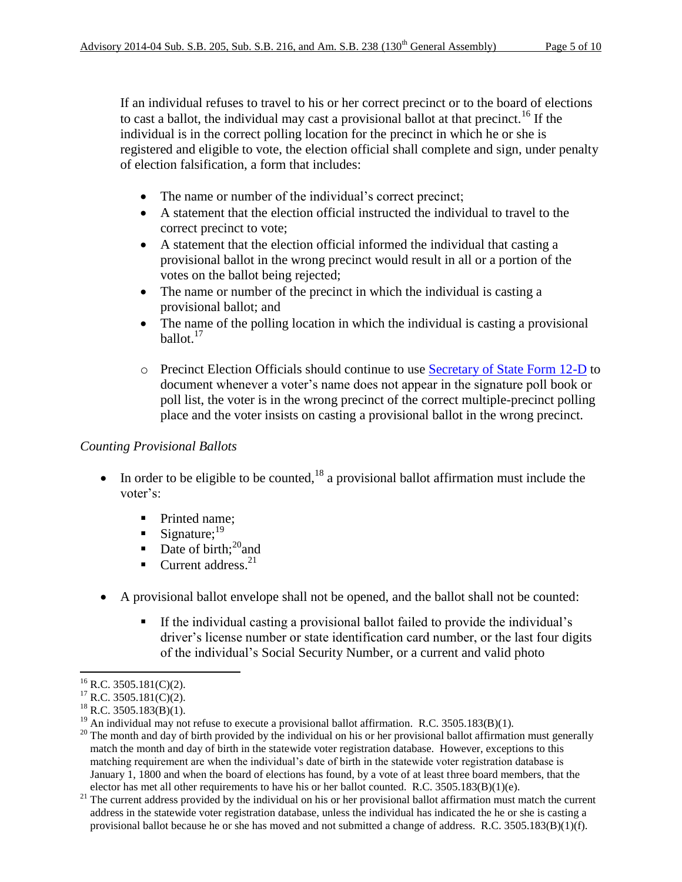If an individual refuses to travel to his or her correct precinct or to the board of elections to cast a ballot, the individual may cast a provisional ballot at that precinct.<sup>16</sup> If the individual is in the correct polling location for the precinct in which he or she is registered and eligible to vote, the election official shall complete and sign, under penalty of election falsification, a form that includes:

- The name or number of the individual's correct precinct;
- A statement that the election official instructed the individual to travel to the correct precinct to vote;
- A statement that the election official informed the individual that casting a provisional ballot in the wrong precinct would result in all or a portion of the votes on the ballot being rejected;
- The name or number of the precinct in which the individual is casting a provisional ballot; and
- The name of the polling location in which the individual is casting a provisional ballot.<sup>17</sup>
- o Precinct Election Officials should continue to use [Secretary of State Form 12-D](http://www.sos.state.oh.us/sos/upload/elections/forms/12-D.pdf) to document whenever a voter's name does not appear in the signature poll book or poll list, the voter is in the wrong precinct of the correct multiple-precinct polling place and the voter insists on casting a provisional ballot in the wrong precinct.

## *Counting Provisional Ballots*

- In order to be eligible to be counted,<sup>18</sup> a provisional ballot affirmation must include the voter's:
	- Printed name;
	- Signature;<sup>19</sup>
	- $\blacksquare$  Date of birth;<sup>20</sup> and
	- $\blacksquare$  Current address.<sup>21</sup>
- A provisional ballot envelope shall not be opened, and the ballot shall not be counted:
	- If the individual casting a provisional ballot failed to provide the individual's driver's license number or state identification card number, or the last four digits of the individual's Social Security Number, or a current and valid photo

 $\overline{a}$  $^{16}$  R.C. 3505.181(C)(2).

 $17$  R.C. 3505.181(C)(2).

 $^{18}$  R.C. 3505.183(B)(1).

<sup>&</sup>lt;sup>19</sup> An individual may not refuse to execute a provisional ballot affirmation. R.C. 3505.183(B)(1).

<sup>&</sup>lt;sup>20</sup> The month and day of birth provided by the individual on his or her provisional ballot affirmation must generally match the month and day of birth in the statewide voter registration database. However, exceptions to this matching requirement are when the individual's date of birth in the statewide voter registration database is January 1, 1800 and when the board of elections has found, by a vote of at least three board members, that the elector has met all other requirements to have his or her ballot counted. R.C. 3505.183(B)(1)(e).

<sup>&</sup>lt;sup>21</sup> The current address provided by the individual on his or her provisional ballot affirmation must match the current address in the statewide voter registration database, unless the individual has indicated the he or she is casting a provisional ballot because he or she has moved and not submitted a change of address. R.C. 3505.183(B)(1)(f).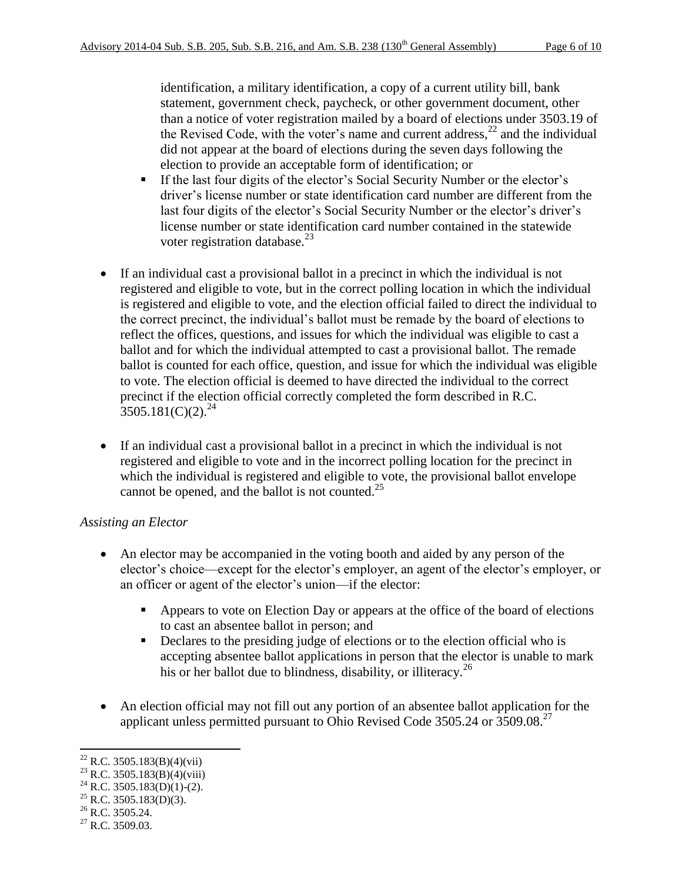identification, a military identification, a copy of a current utility bill, bank statement, government check, paycheck, or other government document, other than a notice of voter registration mailed by a board of elections under 3503.19 of the Revised Code, with the voter's name and current address,<sup>22</sup> and the individual did not appear at the board of elections during the seven days following the election to provide an acceptable form of identification; or

- If the last four digits of the elector's Social Security Number or the elector's driver's license number or state identification card number are different from the last four digits of the elector's Social Security Number or the elector's driver's license number or state identification card number contained in the statewide voter registration database. $^{23}$
- If an individual cast a provisional ballot in a precinct in which the individual is not registered and eligible to vote, but in the correct polling location in which the individual is registered and eligible to vote, and the election official failed to direct the individual to the correct precinct, the individual's ballot must be remade by the board of elections to reflect the offices, questions, and issues for which the individual was eligible to cast a ballot and for which the individual attempted to cast a provisional ballot. The remade ballot is counted for each office, question, and issue for which the individual was eligible to vote. The election official is deemed to have directed the individual to the correct precinct if the election official correctly completed the form described in R.C.  $3505.181(C)(2).^{24}$
- If an individual cast a provisional ballot in a precinct in which the individual is not registered and eligible to vote and in the incorrect polling location for the precinct in which the individual is registered and eligible to vote, the provisional ballot envelope cannot be opened, and the ballot is not counted.<sup>25</sup>

## *Assisting an Elector*

- An elector may be accompanied in the voting booth and aided by any person of the elector's choice—except for the elector's employer, an agent of the elector's employer, or an officer or agent of the elector's union—if the elector:
	- Appears to vote on Election Day or appears at the office of the board of elections to cast an absentee ballot in person; and
	- Declares to the presiding judge of elections or to the election official who is accepting absentee ballot applications in person that the elector is unable to mark his or her ballot due to blindness, disability, or illiteracy.<sup>26</sup>
- An election official may not fill out any portion of an absentee ballot application for the applicant unless permitted pursuant to Ohio Revised Code  $3505.24$  or  $3509.08$ <sup>27</sup>

l  $22$  R.C. 3505.183(B)(4)(vii)

 $^{23}$  R.C. 3505.183(B)(4)(viii)

<sup>&</sup>lt;sup>24</sup> R.C. 3505.183(D)(1)-(2).

 $^{25}$  R.C. 3505.183(D)(3).

 $^{26}$  R.C. 3505.24.

 $^{27}$  R.C. 3509.03.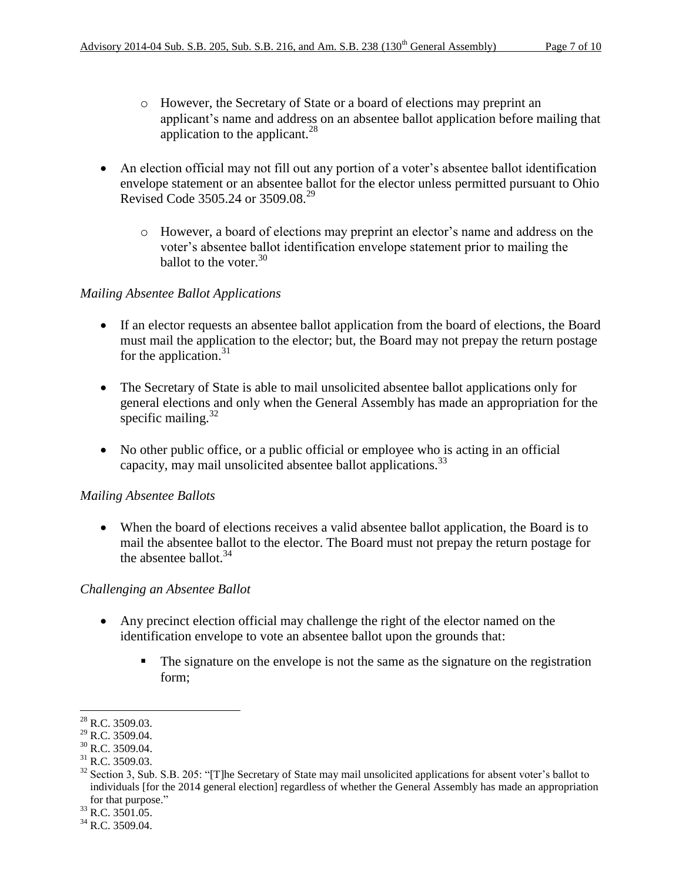- o However, the Secretary of State or a board of elections may preprint an applicant's name and address on an absentee ballot application before mailing that application to the applicant.<sup>28</sup>
- An election official may not fill out any portion of a voter's absentee ballot identification envelope statement or an absentee ballot for the elector unless permitted pursuant to Ohio Revised Code 3505.24 or 3509.08.<sup>29</sup>
	- o However, a board of elections may preprint an elector's name and address on the voter's absentee ballot identification envelope statement prior to mailing the ballot to the voter.<sup>30</sup>

## *Mailing Absentee Ballot Applications*

- If an elector requests an absentee ballot application from the board of elections, the Board must mail the application to the elector; but, the Board may not prepay the return postage for the application. $31$
- The Secretary of State is able to mail unsolicited absentee ballot applications only for general elections and only when the General Assembly has made an appropriation for the specific mailing. $32$
- No other public office, or a public official or employee who is acting in an official capacity, may mail unsolicited absentee ballot applications.<sup>33</sup>

## *Mailing Absentee Ballots*

 When the board of elections receives a valid absentee ballot application, the Board is to mail the absentee ballot to the elector. The Board must not prepay the return postage for the absentee ballot. $34$ 

#### *Challenging an Absentee Ballot*

- Any precinct election official may challenge the right of the elector named on the identification envelope to vote an absentee ballot upon the grounds that:
	- The signature on the envelope is not the same as the signature on the registration form;

<sup>33</sup> R.C. 3501.05.

 $\overline{\phantom{a}}$  $^{28}$  R.C. 3509.03.

 $^{29}$  R.C. 3509.04.

<sup>&</sup>lt;sup>30</sup> R.C. 3509.04.

 $31$  R.C. 3509.03.

 $32$  Section 3, Sub. S.B. 205: "[T]he Secretary of State may mail unsolicited applications for absent voter's ballot to individuals [for the 2014 general election] regardless of whether the General Assembly has made an appropriation for that purpose."

 $34$  R.C. 3509.04.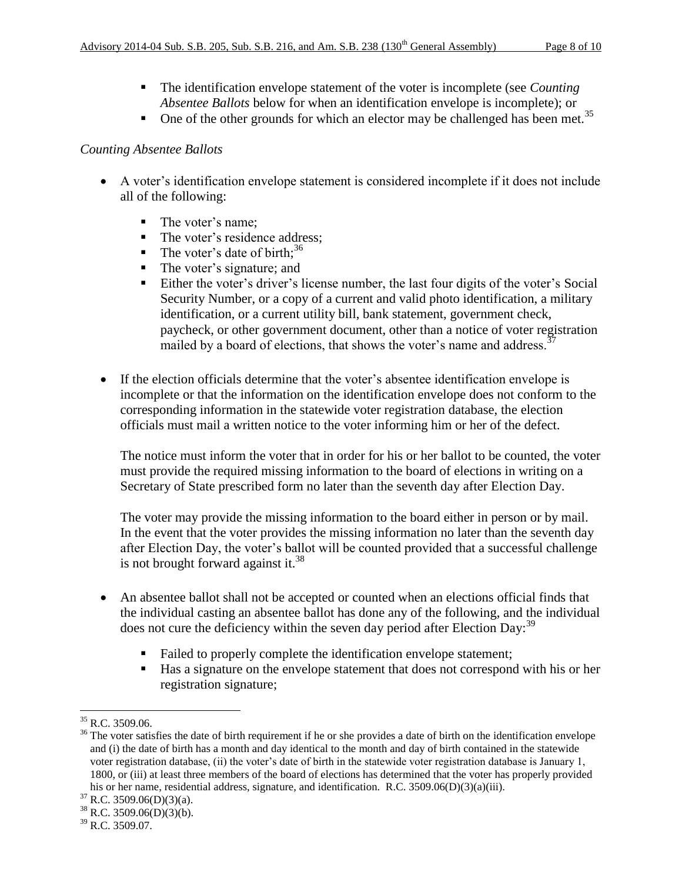- The identification envelope statement of the voter is incomplete (see *Counting Absentee Ballots* below for when an identification envelope is incomplete); or
- One of the other grounds for which an elector may be challenged has been met.<sup>35</sup>

#### *Counting Absentee Ballots*

- A voter's identification envelope statement is considered incomplete if it does not include all of the following:
	- The voter's name;
	- The voter's residence address;
	- The voter's date of birth;<sup>36</sup>
	- The voter's signature; and
	- Either the voter's driver's license number, the last four digits of the voter's Social Security Number, or a copy of a current and valid photo identification, a military identification, or a current utility bill, bank statement, government check, paycheck, or other government document, other than a notice of voter registration mailed by a board of elections, that shows the voter's name and address.  $37$
- If the election officials determine that the voter's absentee identification envelope is incomplete or that the information on the identification envelope does not conform to the corresponding information in the statewide voter registration database, the election officials must mail a written notice to the voter informing him or her of the defect.

The notice must inform the voter that in order for his or her ballot to be counted, the voter must provide the required missing information to the board of elections in writing on a Secretary of State prescribed form no later than the seventh day after Election Day.

The voter may provide the missing information to the board either in person or by mail. In the event that the voter provides the missing information no later than the seventh day after Election Day, the voter's ballot will be counted provided that a successful challenge is not brought forward against it.<sup>38</sup>

- An absentee ballot shall not be accepted or counted when an elections official finds that the individual casting an absentee ballot has done any of the following, and the individual does not cure the deficiency within the seven day period after Election Day:<sup>39</sup>
	- Failed to properly complete the identification envelope statement;
	- Has a signature on the envelope statement that does not correspond with his or her registration signature;

 $\overline{\phantom{a}}$  $35$  R.C. 3509.06.

<sup>&</sup>lt;sup>36</sup> The voter satisfies the date of birth requirement if he or she provides a date of birth on the identification envelope and (i) the date of birth has a month and day identical to the month and day of birth contained in the statewide voter registration database, (ii) the voter's date of birth in the statewide voter registration database is January 1, 1800, or (iii) at least three members of the board of elections has determined that the voter has properly provided his or her name, residential address, signature, and identification. R.C. 3509.06(D)(3)(a)(iii).

 $37$  R.C. 3509.06(D)(3)(a).

 $38$  R.C. 3509.06(D)(3)(b).

 $39$  R.C. 3509.07.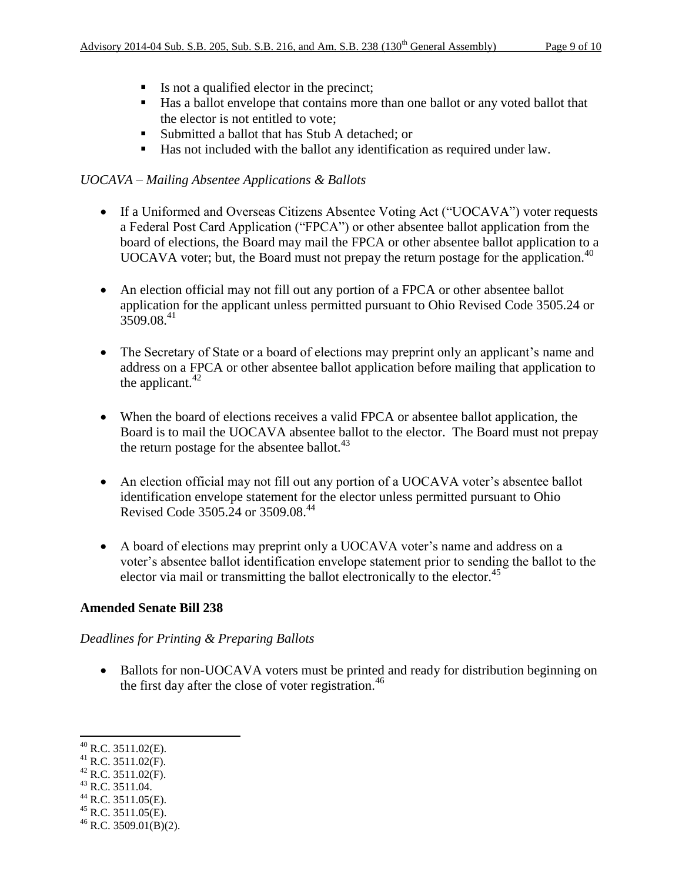- Is not a qualified elector in the precinct;
- Has a ballot envelope that contains more than one ballot or any voted ballot that the elector is not entitled to vote;
- Submitted a ballot that has Stub A detached; or
- Has not included with the ballot any identification as required under law.

# *UOCAVA – Mailing Absentee Applications & Ballots*

- If a Uniformed and Overseas Citizens Absentee Voting Act ("UOCAVA") voter requests a Federal Post Card Application ("FPCA") or other absentee ballot application from the board of elections, the Board may mail the FPCA or other absentee ballot application to a UOCAVA voter; but, the Board must not prepay the return postage for the application.<sup>40</sup>
- An election official may not fill out any portion of a FPCA or other absentee ballot application for the applicant unless permitted pursuant to Ohio Revised Code 3505.24 or  $3509.08^{41}$
- The Secretary of State or a board of elections may preprint only an applicant's name and address on a FPCA or other absentee ballot application before mailing that application to the applicant. $42$
- When the board of elections receives a valid FPCA or absentee ballot application, the Board is to mail the UOCAVA absentee ballot to the elector. The Board must not prepay the return postage for the absentee ballot. $43$
- An election official may not fill out any portion of a UOCAVA voter's absentee ballot identification envelope statement for the elector unless permitted pursuant to Ohio Revised Code 3505.24 or 3509.08.<sup>44</sup>
- A board of elections may preprint only a UOCAVA voter's name and address on a voter's absentee ballot identification envelope statement prior to sending the ballot to the elector via mail or transmitting the ballot electronically to the elector.<sup>45</sup>

## **Amended Senate Bill 238**

## *Deadlines for Printing & Preparing Ballots*

• Ballots for non-UOCAVA voters must be printed and ready for distribution beginning on the first day after the close of voter registration.<sup>46</sup>

 $\overline{\phantom{a}}$ 

 $42$  R.C. 3511.02(F).

- $^{44}$  R.C. 3511.05(E).
- $45$  R.C. 3511.05(E).

 $^{40}$  R.C. 3511.02(E).

 $^{41}$  R.C. 3511.02(F).

 $43$  R.C. 3511.04.

 $^{46}$  R.C. 3509.01(B)(2).